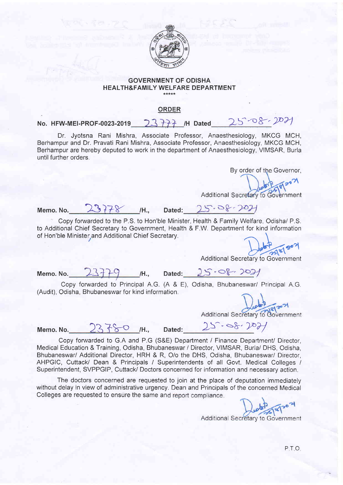

## GOVERNMENT OF ODISHA <sup>H</sup>EALTH&FAMILY WELFARE DEPARTMENT

## **ORDER**

## No. HFW-MEI-PROF-0023-2019 23777 /H Dated 25-08-2021

Dr. Jyotsna Rani Mishra, Associate Professor, Anaesthesiology, MKCG MCH, Berhampur and Dr. Pravati Rani Mishra, Associate Professor, Anaesthesiology, MKCG MCH, Berhampur are hereby deputed to work in the department of Anaesthesiology, VIMSAR, Burla until further orders.

By order of the Governor,

 $\infty$ Additional Secretary to Government

Memo. No.  $23778$  /H., Dated

' Copy fonruarded to the P.S. to Hon'ble Minister, Health & Family Welfare, Odisha/ P.S. to Additional Chief Secretary to Government, Health & F.W. Department for kind informatior of Hon'ble Minister and Additional Chief Secretary.  $\bigcap$ 

Additional Secretary to Gove

 $23780$  /H.

Memo. No.  $23779$  /H., Dated:  $25.08.2021$ 

Copy forwarded to Principal A.G. (A & E), Odisha, Bhubaneswar/ Principal A.G (Audit), Odisha, Bhubaneswar for kind information.

Additional Secretary to Government

Memo. No.  $23750$  /H., Dated:  $25 - 88. 207$ 

Copy forwarded to G.A and P.G (S&E) Department / Finance Department/ Director, Medical Education & Training, Odisha, Bhubaneswar / Director, VIMSAR, Burla/ DHS, Odisha, Bhubaneswar/ Additional Director, HRH & R, O/o the DHS, Odisha, Bhubaneswar/ Director, AHPGIC, Cuttack/ Dean & Principals / Superintendents of all Govt. Medical Colleges / Superintendent, SVPPGIP, Cuttack/ Doctors concerned for information and necessary action.

The doctors concerned are requested to join at the place of deputation immediately without delay in view of administrative urgency. Dean and Principals of the concerned Medical Colleges are requested to ensure the same and report compliance.

Additional Secretary to Government

PT<sub>O</sub>